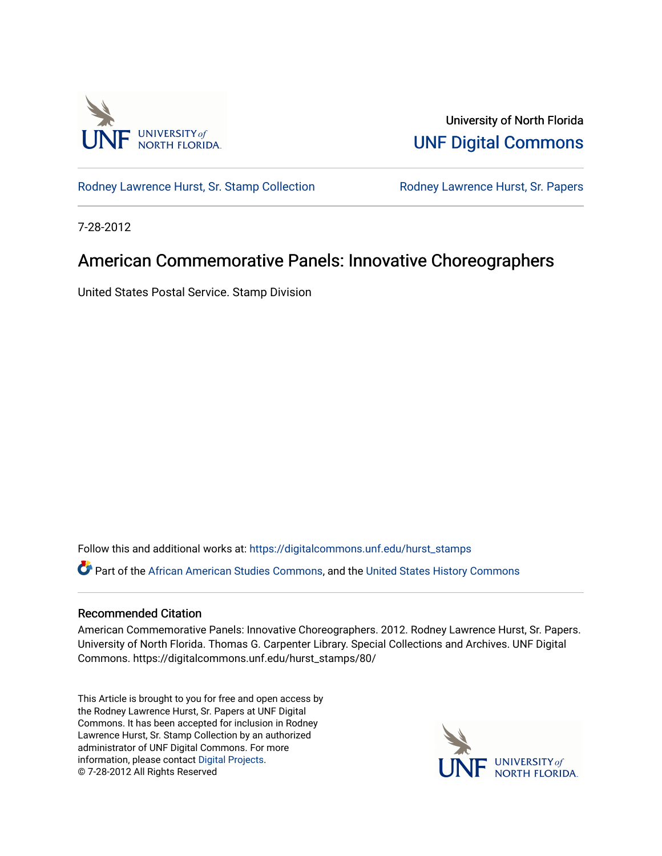

University of North Florida [UNF Digital Commons](https://digitalcommons.unf.edu/) 

[Rodney Lawrence Hurst, Sr. Stamp Collection](https://digitalcommons.unf.edu/hurst_stamps) **Rodney Lawrence Hurst, Sr. Papers** 

7-28-2012

## American Commemorative Panels: Innovative Choreographers

United States Postal Service. Stamp Division

Follow this and additional works at: [https://digitalcommons.unf.edu/hurst\\_stamps](https://digitalcommons.unf.edu/hurst_stamps?utm_source=digitalcommons.unf.edu%2Fhurst_stamps%2F80&utm_medium=PDF&utm_campaign=PDFCoverPages)

Part of the [African American Studies Commons,](http://network.bepress.com/hgg/discipline/567?utm_source=digitalcommons.unf.edu%2Fhurst_stamps%2F80&utm_medium=PDF&utm_campaign=PDFCoverPages) and the [United States History Commons](http://network.bepress.com/hgg/discipline/495?utm_source=digitalcommons.unf.edu%2Fhurst_stamps%2F80&utm_medium=PDF&utm_campaign=PDFCoverPages) 

## Recommended Citation

American Commemorative Panels: Innovative Choreographers. 2012. Rodney Lawrence Hurst, Sr. Papers. University of North Florida. Thomas G. Carpenter Library. Special Collections and Archives. UNF Digital Commons. https://digitalcommons.unf.edu/hurst\_stamps/80/

This Article is brought to you for free and open access by the Rodney Lawrence Hurst, Sr. Papers at UNF Digital Commons. It has been accepted for inclusion in Rodney Lawrence Hurst, Sr. Stamp Collection by an authorized administrator of UNF Digital Commons. For more information, please contact [Digital Projects](mailto:lib-digital@unf.edu). © 7-28-2012 All Rights Reserved